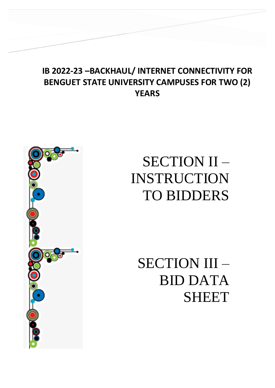# **IB 2022-23 –BACKHAUL/ INTERNET CONNECTIVITY FOR BENGUET STATE UNIVERSITY CAMPUSES FOR TWO (2) YEARS**



# SECTION II – INSTRUCTION TO BIDDERS

SECTION III – BID DATA SHEET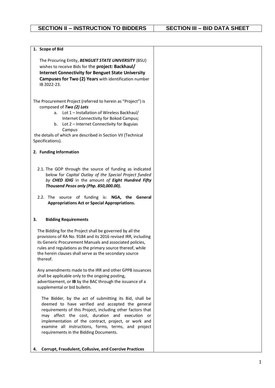| The Procuring Entity, BENGUET STATE UNIVERSITY (BSU)<br>wishes to receive Bids for the project: Backhaul/<br><b>Internet Connectivity for Benguet State University</b><br><b>Campuses for Two (2) Years</b> with identification number<br>IB 2022-23.                                                                                                                               |  |
|-------------------------------------------------------------------------------------------------------------------------------------------------------------------------------------------------------------------------------------------------------------------------------------------------------------------------------------------------------------------------------------|--|
| The Procurement Project (referred to herein as "Project") is<br>composed of Two (2) Lots<br>a. Lot 1 - Installation of Wireless Backhaul/<br>Internet Connectivity for Bokod Campus;<br>Lot 2 - Internet Connectivity for Buguias<br>b.<br>Campus<br>the details of which are described in Section VII (Technical<br>Specifications).                                               |  |
| 2. Funding Information                                                                                                                                                                                                                                                                                                                                                              |  |
| 2.1. The GOP through the source of funding as indicated<br>below for Capital Outlay of the Special Project funded<br>by CHED IDIG in the amount of Eight Hundred Fifty<br>Thousand Pesos only (Php. 850,000.00).<br>2.2. The source of funding is: NGA, the General<br><b>Appropriations Act or Special Appropriations.</b>                                                         |  |
| 3.<br><b>Bidding Requirements</b>                                                                                                                                                                                                                                                                                                                                                   |  |
| The Bidding for the Project shall be governed by all the<br>provisions of RA No. 9184 and its 2016 revised IRR, including<br>its Generic Procurement Manuals and associated policies,<br>rules and regulations as the primary source thereof, while<br>the herein clauses shall serve as the secondary source<br>thereof.                                                           |  |
| Any amendments made to the IRR and other GPPB issuances<br>shall be applicable only to the ongoing posting,<br>advertisement, or IB by the BAC through the issuance of a<br>supplemental or bid bulletin.                                                                                                                                                                           |  |
| The Bidder, by the act of submitting its Bid, shall be<br>deemed to have verified and accepted the general<br>requirements of this Project, including other factors that<br>may affect the cost, duration and execution or<br>implementation of the contract, project, or work and<br>examine all instructions, forms, terms, and project<br>requirements in the Bidding Documents. |  |
| <b>Corrupt, Fraudulent, Collusive, and Coercive Practices</b><br>4.                                                                                                                                                                                                                                                                                                                 |  |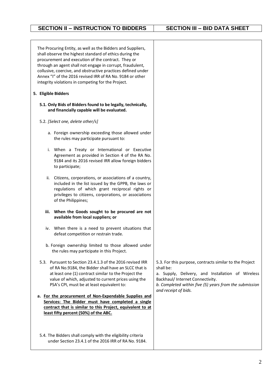| The Procuring Entity, as well as the Bidders and Suppliers,<br>shall observe the highest standard of ethics during the<br>procurement and execution of the contract. They or<br>through an agent shall not engage in corrupt, fraudulent,<br>collusive, coercive, and obstructive practices defined under<br>Annex "I" of the 2016 revised IRR of RA No. 9184 or other<br>integrity violations in competing for the Project. |                                                                                                                                                                                                                                                 |
|------------------------------------------------------------------------------------------------------------------------------------------------------------------------------------------------------------------------------------------------------------------------------------------------------------------------------------------------------------------------------------------------------------------------------|-------------------------------------------------------------------------------------------------------------------------------------------------------------------------------------------------------------------------------------------------|
| 5. Eligible Bidders                                                                                                                                                                                                                                                                                                                                                                                                          |                                                                                                                                                                                                                                                 |
| 5.1. Only Bids of Bidders found to be legally, technically,<br>and financially capable will be evaluated.                                                                                                                                                                                                                                                                                                                    |                                                                                                                                                                                                                                                 |
| 5.2. [Select one, delete other/s]                                                                                                                                                                                                                                                                                                                                                                                            |                                                                                                                                                                                                                                                 |
| a. Foreign ownership exceeding those allowed under<br>the rules may participate pursuant to:                                                                                                                                                                                                                                                                                                                                 |                                                                                                                                                                                                                                                 |
| i. When a Treaty or International or Executive<br>Agreement as provided in Section 4 of the RA No.<br>9184 and its 2016 revised IRR allow foreign bidders<br>to participate;                                                                                                                                                                                                                                                 |                                                                                                                                                                                                                                                 |
| ii. Citizens, corporations, or associations of a country,<br>included in the list issued by the GPPB, the laws or<br>regulations of which grant reciprocal rights or<br>privileges to citizens, corporations, or associations<br>of the Philippines;                                                                                                                                                                         |                                                                                                                                                                                                                                                 |
| iii. When the Goods sought to be procured are not<br>available from local suppliers; or                                                                                                                                                                                                                                                                                                                                      |                                                                                                                                                                                                                                                 |
| iv. When there is a need to prevent situations that<br>defeat competition or restrain trade.                                                                                                                                                                                                                                                                                                                                 |                                                                                                                                                                                                                                                 |
| b. Foreign ownership limited to those allowed under<br>the rules may participate in this Project.                                                                                                                                                                                                                                                                                                                            |                                                                                                                                                                                                                                                 |
| 5.3. Pursuant to Section 23.4.1.3 of the 2016 revised IRR<br>of RA No.9184, the Bidder shall have an SLCC that is<br>at least one (1) contract similar to the Project the<br>value of which, adjusted to current prices using the<br>PSA's CPI, must be at least equivalent to:                                                                                                                                              | 5.3. For this purpose, contracts similar to the Project<br>shall be:<br>a. Supply, Delivery, and Installation of Wireless<br>Backhaul/ Internet Connectivity.<br>b. Completed within five (5) years from the submission<br>and receipt of bids. |
| a. For the procurement of Non-Expendable Supplies and<br>Services: The Bidder must have completed a single<br>contract that is similar to this Project, equivalent to at<br>least fifty percent (50%) of the ABC.                                                                                                                                                                                                            |                                                                                                                                                                                                                                                 |
| 5.4. The Bidders shall comply with the eligibility criteria<br>under Section 23.4.1 of the 2016 IRR of RA No. 9184.                                                                                                                                                                                                                                                                                                          |                                                                                                                                                                                                                                                 |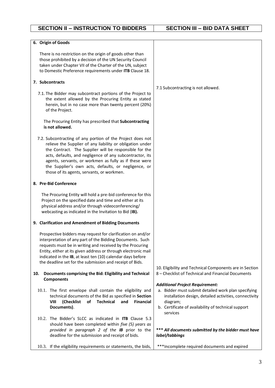| 6. Origin of Goods                                                                                                                                                                                                                                                                                                                                                                                            |                                                                                                                                                                                                                                        |
|---------------------------------------------------------------------------------------------------------------------------------------------------------------------------------------------------------------------------------------------------------------------------------------------------------------------------------------------------------------------------------------------------------------|----------------------------------------------------------------------------------------------------------------------------------------------------------------------------------------------------------------------------------------|
| There is no restriction on the origin of goods other than<br>those prohibited by a decision of the UN Security Council<br>taken under Chapter VII of the Charter of the UN, subject<br>to Domestic Preference requirements under ITB Clause 18.                                                                                                                                                               |                                                                                                                                                                                                                                        |
| 7. Subcontracts                                                                                                                                                                                                                                                                                                                                                                                               | 7.1 Subcontracting is not allowed.                                                                                                                                                                                                     |
| 7.1. The Bidder may subcontract portions of the Project to<br>the extent allowed by the Procuring Entity as stated<br>herein, but in no case more than twenty percent (20%)<br>of the Project.                                                                                                                                                                                                                |                                                                                                                                                                                                                                        |
| The Procuring Entity has prescribed that Subcontracting<br>is not allowed.                                                                                                                                                                                                                                                                                                                                    |                                                                                                                                                                                                                                        |
| 7.2. Subcontracting of any portion of the Project does not<br>relieve the Supplier of any liability or obligation under<br>the Contract. The Supplier will be responsible for the<br>acts, defaults, and negligence of any subcontractor, its<br>agents, servants, or workmen as fully as if these were<br>the Supplier's own acts, defaults, or negligence, or<br>those of its agents, servants, or workmen. |                                                                                                                                                                                                                                        |
| 8. Pre-Bid Conference                                                                                                                                                                                                                                                                                                                                                                                         |                                                                                                                                                                                                                                        |
| The Procuring Entity will hold a pre-bid conference for this<br>Project on the specified date and time and either at its<br>physical address and/or through videoconferencing/<br>webcasting as indicated in the Invitation to Bid (IB).                                                                                                                                                                      |                                                                                                                                                                                                                                        |
| 9. Clarification and Amendment of Bidding Documents                                                                                                                                                                                                                                                                                                                                                           |                                                                                                                                                                                                                                        |
| Prospective bidders may request for clarification on and/or<br>interpretation of any part of the Bidding Documents. Such<br>requests must be in writing and received by the Procuring<br>Entity, either at its given address or through electronic mail<br>indicated in the IB, at least ten (10) calendar days before<br>the deadline set for the submission and receipt of Bids.                            |                                                                                                                                                                                                                                        |
| Documents comprising the Bid: Eligibility and Technical<br>10.<br><b>Components</b>                                                                                                                                                                                                                                                                                                                           | 10. Eligibility and Technical Components are in Section<br>8 – Checklist of Technical and Financial Documents                                                                                                                          |
| 10.1. The first envelope shall contain the eligibility and<br>technical documents of the Bid as specified in Section<br><b>VIII</b><br>(Checklist<br>of<br><b>Technical</b><br>and<br><b>Financial</b><br>Documents).                                                                                                                                                                                         | <b>Additional Project Requirement:</b><br>a. Bidder must submit detailed work plan specifying<br>installation design, detailed activities, connectivity<br>diagram;<br>b. Certificate of availability of technical support<br>services |
| 10.2. The Bidder's SLCC as indicated in <b>ITB</b> Clause 5.3<br>should have been completed within five (5) years as<br>provided in paragraph 2 of the IB prior to the<br>deadline for the submission and receipt of bids.                                                                                                                                                                                    | *** All documents submitted by the bidder must have<br>label/tabbings                                                                                                                                                                  |
| 10.3. If the eligibility requirements or statements, the bids,                                                                                                                                                                                                                                                                                                                                                | *** Incomplete required documents and expired                                                                                                                                                                                          |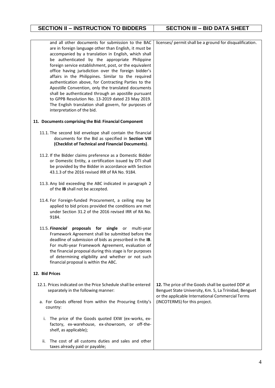| and all other documents for submission to the BAC<br>are in foreign language other than English, it must be<br>accompanied by a translation in English, which shall<br>be authenticated by the appropriate Philippine<br>foreign service establishment, post, or the equivalent<br>office having jurisdiction over the foreign bidder's<br>affairs in the Philippines. Similar to the required<br>authentication above, for Contracting Parties to the<br>Apostille Convention, only the translated documents<br>shall be authenticated through an apostille pursuant<br>to GPPB Resolution No. 13-2019 dated 23 May 2019.<br>The English translation shall govern, for purposes of<br>interpretation of the bid. | licenses/ permit shall be a ground for disqualification.                                                                                                       |
|-------------------------------------------------------------------------------------------------------------------------------------------------------------------------------------------------------------------------------------------------------------------------------------------------------------------------------------------------------------------------------------------------------------------------------------------------------------------------------------------------------------------------------------------------------------------------------------------------------------------------------------------------------------------------------------------------------------------|----------------------------------------------------------------------------------------------------------------------------------------------------------------|
| 11. Documents comprising the Bid: Financial Component                                                                                                                                                                                                                                                                                                                                                                                                                                                                                                                                                                                                                                                             |                                                                                                                                                                |
| 11.1. The second bid envelope shall contain the financial<br>documents for the Bid as specified in Section VIII<br>(Checklist of Technical and Financial Documents).                                                                                                                                                                                                                                                                                                                                                                                                                                                                                                                                              |                                                                                                                                                                |
| 11.2. If the Bidder claims preference as a Domestic Bidder<br>or Domestic Entity, a certification issued by DTI shall<br>be provided by the Bidder in accordance with Section<br>43.1.3 of the 2016 revised IRR of RA No. 9184.                                                                                                                                                                                                                                                                                                                                                                                                                                                                                   |                                                                                                                                                                |
| 11.3. Any bid exceeding the ABC indicated in paragraph 2<br>of the IB shall not be accepted.                                                                                                                                                                                                                                                                                                                                                                                                                                                                                                                                                                                                                      |                                                                                                                                                                |
| 11.4. For Foreign-funded Procurement, a ceiling may be<br>applied to bid prices provided the conditions are met<br>under Section 31.2 of the 2016 revised IRR of RA No.<br>9184.                                                                                                                                                                                                                                                                                                                                                                                                                                                                                                                                  |                                                                                                                                                                |
| 11.5. Financial proposals for single or multi-year<br>Framework Agreement shall be submitted before the<br>deadline of submission of bids as prescribed in the IB.<br>For multi-year Framework Agreement, evaluation of<br>the financial proposal during this stage is for purposes<br>of determining eligibility and whether or not such<br>financial proposal is within the ABC.                                                                                                                                                                                                                                                                                                                                |                                                                                                                                                                |
| 12. Bid Prices                                                                                                                                                                                                                                                                                                                                                                                                                                                                                                                                                                                                                                                                                                    |                                                                                                                                                                |
| 12.1. Prices indicated on the Price Schedule shall be entered<br>separately in the following manner:                                                                                                                                                                                                                                                                                                                                                                                                                                                                                                                                                                                                              | 12. The price of the Goods shall be quoted DDP at<br>Benguet State University, Km. 5, La Trinidad, Benguet<br>or the applicable International Commercial Terms |
| a. For Goods offered from within the Procuring Entity's<br>country:                                                                                                                                                                                                                                                                                                                                                                                                                                                                                                                                                                                                                                               | (INCOTERMS) for this project.                                                                                                                                  |
| The price of the Goods quoted EXW (ex-works, ex-<br>i.<br>factory, ex-warehouse, ex-showroom, or off-the-<br>shelf, as applicable);                                                                                                                                                                                                                                                                                                                                                                                                                                                                                                                                                                               |                                                                                                                                                                |
| The cost of all customs duties and sales and other<br>ii.<br>taxes already paid or payable;                                                                                                                                                                                                                                                                                                                                                                                                                                                                                                                                                                                                                       |                                                                                                                                                                |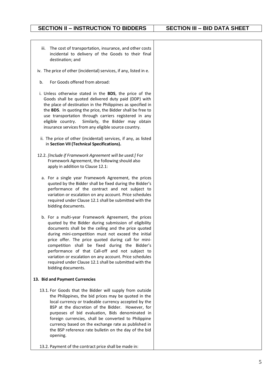| The cost of transportation, insurance, and other costs<br>iii.<br>incidental to delivery of the Goods to their final<br>destination; and                                                                                                                                                                                                                                                                                                                                                                                          |  |
|-----------------------------------------------------------------------------------------------------------------------------------------------------------------------------------------------------------------------------------------------------------------------------------------------------------------------------------------------------------------------------------------------------------------------------------------------------------------------------------------------------------------------------------|--|
| iv. The price of other (incidental) services, if any, listed in e.                                                                                                                                                                                                                                                                                                                                                                                                                                                                |  |
| For Goods offered from abroad:<br>b.                                                                                                                                                                                                                                                                                                                                                                                                                                                                                              |  |
| i. Unless otherwise stated in the BDS, the price of the<br>Goods shall be quoted delivered duty paid (DDP) with<br>the place of destination in the Philippines as specified in<br>the BDS. In quoting the price, the Bidder shall be free to<br>use transportation through carriers registered in any<br>eligible country.<br>Similarly, the Bidder may obtain<br>insurance services from any eligible source country.                                                                                                            |  |
| ii. The price of other (incidental) services, if any, as listed<br>in Section VII (Technical Specifications).                                                                                                                                                                                                                                                                                                                                                                                                                     |  |
| 12.2. [Include if Framework Agreement will be used:] For<br>Framework Agreement, the following should also<br>apply in addition to Clause 12.1:                                                                                                                                                                                                                                                                                                                                                                                   |  |
| a. For a single year Framework Agreement, the prices<br>quoted by the Bidder shall be fixed during the Bidder's<br>performance of the contract and not subject to<br>variation or escalation on any account. Price schedules<br>required under Clause 12.1 shall be submitted with the<br>bidding documents.                                                                                                                                                                                                                      |  |
| b. For a multi-year Framework Agreement, the prices<br>quoted by the Bidder during submission of eligibility<br>documents shall be the ceiling and the price quoted<br>during mini-competition must not exceed the initial<br>price offer. The price quoted during call for mini-<br>competition shall be fixed during the Bidder's<br>performance of that Call-off and not subject to<br>variation or escalation on any account. Price schedules<br>required under Clause 12.1 shall be submitted with the<br>bidding documents. |  |
| 13. Bid and Payment Currencies                                                                                                                                                                                                                                                                                                                                                                                                                                                                                                    |  |
| 13.1. For Goods that the Bidder will supply from outside<br>the Philippines, the bid prices may be quoted in the<br>local currency or tradeable currency accepted by the<br>BSP at the discretion of the Bidder. However, for<br>purposes of bid evaluation, Bids denominated in<br>foreign currencies, shall be converted to Philippine<br>currency based on the exchange rate as published in<br>the BSP reference rate bulletin on the day of the bid<br>opening.                                                              |  |
| 13.2. Payment of the contract price shall be made in:                                                                                                                                                                                                                                                                                                                                                                                                                                                                             |  |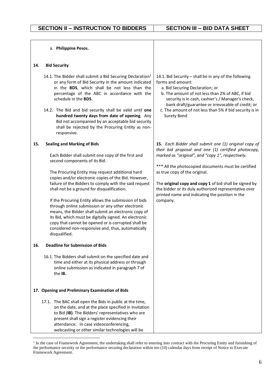|     | a. Philippine Pesos.                                                                                                                                                                                                                                                                                                                                                                                                                                                                                                                                                                                                                                                                                         |                                                                                                                                                                                                                                                                                                                                                                                                                                             |
|-----|--------------------------------------------------------------------------------------------------------------------------------------------------------------------------------------------------------------------------------------------------------------------------------------------------------------------------------------------------------------------------------------------------------------------------------------------------------------------------------------------------------------------------------------------------------------------------------------------------------------------------------------------------------------------------------------------------------------|---------------------------------------------------------------------------------------------------------------------------------------------------------------------------------------------------------------------------------------------------------------------------------------------------------------------------------------------------------------------------------------------------------------------------------------------|
| 14. | <b>Bid Security</b>                                                                                                                                                                                                                                                                                                                                                                                                                                                                                                                                                                                                                                                                                          |                                                                                                                                                                                                                                                                                                                                                                                                                                             |
|     | 14.1. The Bidder shall submit a Bid Securing Declaration <sup>1</sup><br>or any form of Bid Security in the amount indicated<br>in the BDS, which shall be not less than the<br>percentage of the ABC in accordance with the<br>schedule in the BDS.<br>14.2. The Bid and bid security shall be valid until one<br>hundred twenty days from date of opening. Any<br>Bid not accompanied by an acceptable bid security<br>shall be rejected by the Procuring Entity as non-<br>responsive.                                                                                                                                                                                                                    | 14.1. Bid Security - shall be in any of the following<br>forms and amount:<br>a. Bid Securing Declaration; or<br>b. The amount of not less than 2% of ABC, if bid<br>security is in cash, cashier's / Manager's check,<br>bank draft/guarantee or irrevocable of credit; or<br>c. The amount of not less than 5% if bid security is in<br>Surety Bond                                                                                       |
| 15. | <b>Sealing and Marking of Bids</b><br>Each Bidder shall submit one copy of the first and<br>second components of its Bid.<br>The Procuring Entity may request additional hard<br>copies and/or electronic copies of the Bid. However,<br>failure of the Bidders to comply with the said request<br>shall not be a ground for disqualification.<br>If the Procuring Entity allows the submission of bids<br>through online submission or any other electronic<br>means, the Bidder shall submit an electronic copy of<br>its Bid, which must be digitally signed. An electronic<br>copy that cannot be opened or is corrupted shall be<br>considered non-responsive and, thus, automatically<br>disqualified. | 15. Each Bidder shall submit one (1) original copy of<br>their bid proposal and one (1) certified photocopy,<br>marked as "original", and "copy 1", respectively.<br>*** All the photocopied documents must be certified<br>as true copy of the original.<br>The original copy and copy 1 of bid shall be signed by<br>the bidder or its duly authorized representative over<br>printed name and indicating the position in the<br>company. |
| 16. | <b>Deadline for Submission of Bids</b>                                                                                                                                                                                                                                                                                                                                                                                                                                                                                                                                                                                                                                                                       |                                                                                                                                                                                                                                                                                                                                                                                                                                             |
|     | 16.1. The Bidders shall submit on the specified date and<br>time and either at its physical address or through<br>online submission as indicated in paragraph 7 of<br>the <b>IB.</b>                                                                                                                                                                                                                                                                                                                                                                                                                                                                                                                         |                                                                                                                                                                                                                                                                                                                                                                                                                                             |
|     | 17. Opening and Preliminary Examination of Bids                                                                                                                                                                                                                                                                                                                                                                                                                                                                                                                                                                                                                                                              |                                                                                                                                                                                                                                                                                                                                                                                                                                             |
|     | 17.1. The BAC shall open the Bids in public at the time,<br>on the date, and at the place specified in Invitation<br>to Bid (IB). The Bidders' representatives who are<br>present shall sign a register evidencing their<br>attendance. In case videoconferencing,<br>webcasting or other similar technologies will be                                                                                                                                                                                                                                                                                                                                                                                       |                                                                                                                                                                                                                                                                                                                                                                                                                                             |

<sup>&</sup>lt;sup>1</sup> In the case of Framework Agreement, the undertaking shall refer to entering into contract with the Procuring Entity and furnishing of the performance security or the performance securing declaration within ten (10) calendar days from receipt of Notice to Execute Framework Agreement.

-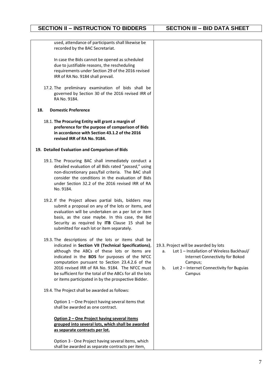used, attendance of participants shall likewise be recorded by the BAC Secretariat.

In case the Bids cannot be opened as scheduled due to justifiable reasons, the rescheduling requirements under Section 29 of the 2016 revised IRR of RA No. 9184 shall prevail.

17.2. The preliminary examination of bids shall be governed by Section 30 of the 2016 revised IRR of RA No. 9184.

#### **18. Domestic Preference**

18.1. **The Procuring Entity will grant a margin of preference for the purpose of comparison of Bids in accordance with Section 43.1.2 of the 2016 revised IRR of RA No. 9184.**

#### **19. Detailed Evaluation and Comparison of Bids**

- 19.1. The Procuring BAC shall immediately conduct a detailed evaluation of all Bids rated "*passed*," using non-discretionary pass/fail criteria. The BAC shall consider the conditions in the evaluation of Bids under Section 32.2 of the 2016 revised IRR of RA No. 9184.
- 19.2. If the Project allows partial bids, bidders may submit a proposal on any of the lots or items, and evaluation will be undertaken on a per lot or item basis, as the case maybe. In this case, the Bid Security as required by **ITB** Clause 15 shall be submitted for each lot or item separately.
- 19.3. The descriptions of the lots or items shall be indicated in **Section VII (Technical Specifications)**, although the ABCs of these lots or items are indicated in the **BDS** for purposes of the NFCC computation pursuant to Section 23.4.2.6 of the 2016 revised IRR of RA No. 9184. The NFCC must be sufficient for the total of the ABCs for all the lots or items participated in by the prospective Bidder.
- 19.4. The Project shall be awarded as follows:

Option 1 – One Project having several items that shall be awarded as one contract.

#### **Option 2 – One Project having several items grouped into several lots, which shall be awarded as separate contracts per lot.**

Option 3 - One Project having several items, which shall be awarded as separate contracts per item.

#### 19.3. Project will be awarded by lots

- a. Lot 1 Installation of Wireless Backhaul/ Internet Connectivity for Bokod Campus;
- b. Lot 2 Internet Connectivity for Buguias Campus